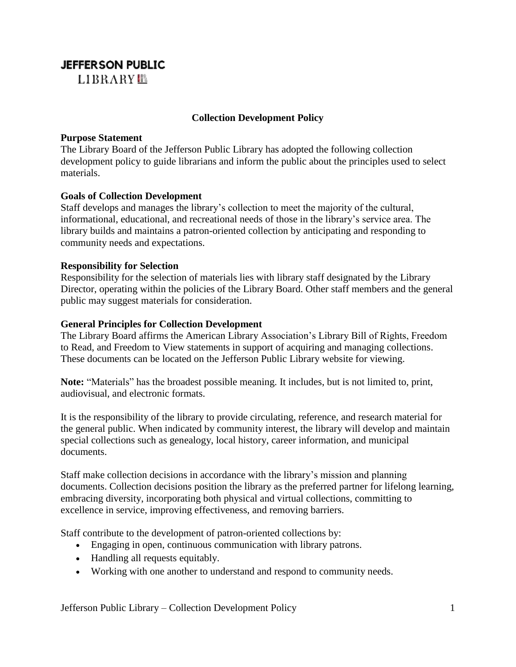# **JEFFERSON PUBLIC**

LIBRARY<sup>I</sup>B

## **Collection Development Policy**

### **Purpose Statement**

The Library Board of the Jefferson Public Library has adopted the following collection development policy to guide librarians and inform the public about the principles used to select materials.

#### **Goals of Collection Development**

Staff develops and manages the library's collection to meet the majority of the cultural, informational, educational, and recreational needs of those in the library's service area. The library builds and maintains a patron-oriented collection by anticipating and responding to community needs and expectations.

#### **Responsibility for Selection**

Responsibility for the selection of materials lies with library staff designated by the Library Director, operating within the policies of the Library Board. Other staff members and the general public may suggest materials for consideration.

## **General Principles for Collection Development**

The Library Board affirms the American Library Association's Library Bill of Rights, Freedom to Read, and Freedom to View statements in support of acquiring and managing collections. These documents can be located on the Jefferson Public Library website for viewing.

**Note:** "Materials" has the broadest possible meaning. It includes, but is not limited to, print, audiovisual, and electronic formats.

It is the responsibility of the library to provide circulating, reference, and research material for the general public. When indicated by community interest, the library will develop and maintain special collections such as genealogy, local history, career information, and municipal documents.

Staff make collection decisions in accordance with the library's mission and planning documents. Collection decisions position the library as the preferred partner for lifelong learning, embracing diversity, incorporating both physical and virtual collections, committing to excellence in service, improving effectiveness, and removing barriers.

Staff contribute to the development of patron-oriented collections by:

- Engaging in open, continuous communication with library patrons.
- Handling all requests equitably.
- Working with one another to understand and respond to community needs.

Jefferson Public Library – Collection Development Policy 1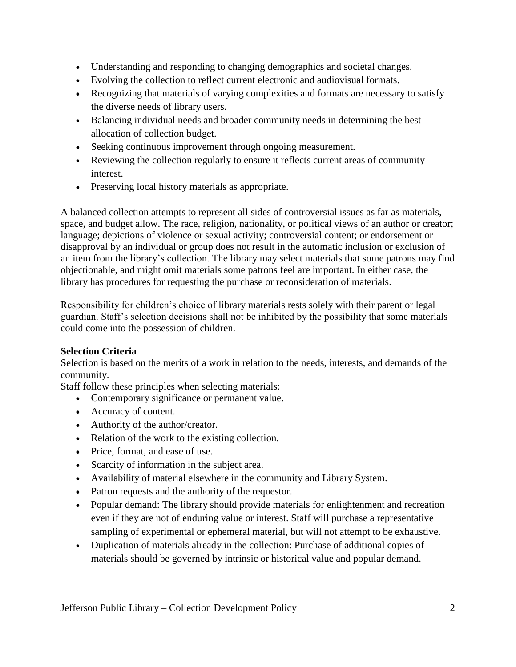- Understanding and responding to changing demographics and societal changes.
- Evolving the collection to reflect current electronic and audiovisual formats.
- Recognizing that materials of varying complexities and formats are necessary to satisfy the diverse needs of library users.
- Balancing individual needs and broader community needs in determining the best allocation of collection budget.
- Seeking continuous improvement through ongoing measurement.
- Reviewing the collection regularly to ensure it reflects current areas of community interest.
- Preserving local history materials as appropriate.

A balanced collection attempts to represent all sides of controversial issues as far as materials, space, and budget allow. The race, religion, nationality, or political views of an author or creator; language; depictions of violence or sexual activity; controversial content; or endorsement or disapproval by an individual or group does not result in the automatic inclusion or exclusion of an item from the library's collection. The library may select materials that some patrons may find objectionable, and might omit materials some patrons feel are important. In either case, the library has procedures for requesting the purchase or reconsideration of materials.

Responsibility for children's choice of library materials rests solely with their parent or legal guardian. Staff's selection decisions shall not be inhibited by the possibility that some materials could come into the possession of children.

# **Selection Criteria**

Selection is based on the merits of a work in relation to the needs, interests, and demands of the community.

Staff follow these principles when selecting materials:

- Contemporary significance or permanent value.
- Accuracy of content.
- Authority of the author/creator.
- Relation of the work to the existing collection.
- Price, format, and ease of use.
- Scarcity of information in the subject area.
- Availability of material elsewhere in the community and Library System.
- Patron requests and the authority of the requestor.
- Popular demand: The library should provide materials for enlightenment and recreation even if they are not of enduring value or interest. Staff will purchase a representative sampling of experimental or ephemeral material, but will not attempt to be exhaustive.
- Duplication of materials already in the collection: Purchase of additional copies of materials should be governed by intrinsic or historical value and popular demand.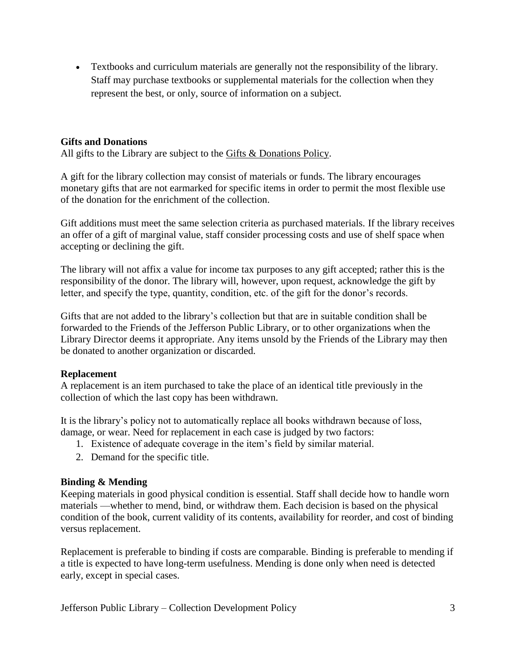• Textbooks and curriculum materials are generally not the responsibility of the library. Staff may purchase textbooks or supplemental materials for the collection when they represent the best, or only, source of information on a subject.

## **Gifts and Donations**

All gifts to the Library are subject to the [Gifts & Donations Policy.](https://www.oconomowoclibrary.org/your-library/policies/gifts-donations-policy/)

A gift for the library collection may consist of materials or funds. The library encourages monetary gifts that are not earmarked for specific items in order to permit the most flexible use of the donation for the enrichment of the collection.

Gift additions must meet the same selection criteria as purchased materials. If the library receives an offer of a gift of marginal value, staff consider processing costs and use of shelf space when accepting or declining the gift.

The library will not affix a value for income tax purposes to any gift accepted; rather this is the responsibility of the donor. The library will, however, upon request, acknowledge the gift by letter, and specify the type, quantity, condition, etc. of the gift for the donor's records.

Gifts that are not added to the library's collection but that are in suitable condition shall be forwarded to the Friends of the Jefferson Public Library, or to other organizations when the Library Director deems it appropriate. Any items unsold by the Friends of the Library may then be donated to another organization or discarded.

#### **Replacement**

A replacement is an item purchased to take the place of an identical title previously in the collection of which the last copy has been withdrawn.

It is the library's policy not to automatically replace all books withdrawn because of loss, damage, or wear. Need for replacement in each case is judged by two factors:

- 1. Existence of adequate coverage in the item's field by similar material.
- 2. Demand for the specific title.

# **Binding & Mending**

Keeping materials in good physical condition is essential. Staff shall decide how to handle worn materials —whether to mend, bind, or withdraw them. Each decision is based on the physical condition of the book, current validity of its contents, availability for reorder, and cost of binding versus replacement.

Replacement is preferable to binding if costs are comparable. Binding is preferable to mending if a title is expected to have long-term usefulness. Mending is done only when need is detected early, except in special cases.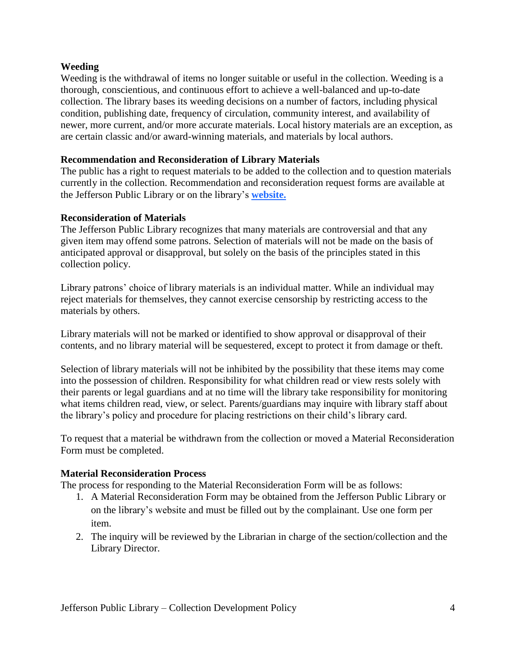## **Weeding**

Weeding is the withdrawal of items no longer suitable or useful in the collection. Weeding is a thorough, conscientious, and continuous effort to achieve a well-balanced and up-to-date collection. The library bases its weeding decisions on a number of factors, including physical condition, publishing date, frequency of circulation, community interest, and availability of newer, more current, and/or more accurate materials. Local history materials are an exception, as are certain classic and/or award-winning materials, and materials by local authors.

### **Recommendation and Reconsideration of Library Materials**

The public has a right to request materials to be added to the collection and to question materials currently in the collection. Recommendation and reconsideration request forms are available at the Jefferson Public Library or on the library's **website.**

## **Reconsideration of Materials**

The Jefferson Public Library recognizes that many materials are controversial and that any given item may offend some patrons. Selection of materials will not be made on the basis of anticipated approval or disapproval, but solely on the basis of the principles stated in this collection policy.

Library patrons' choice of library materials is an individual matter. While an individual may reject materials for themselves, they cannot exercise censorship by restricting access to the materials by others.

Library materials will not be marked or identified to show approval or disapproval of their contents, and no library material will be sequestered, except to protect it from damage or theft.

Selection of library materials will not be inhibited by the possibility that these items may come into the possession of children. Responsibility for what children read or view rests solely with their parents or legal guardians and at no time will the library take responsibility for monitoring what items children read, view, or select. Parents/guardians may inquire with library staff about the library's policy and procedure for placing restrictions on their child's library card.

To request that a material be withdrawn from the collection or moved a Material Reconsideration Form must be completed.

#### **Material Reconsideration Process**

The process for responding to the Material Reconsideration Form will be as follows:

- 1. A Material Reconsideration Form may be obtained from the Jefferson Public Library or on the library's website and must be filled out by the complainant. Use one form per item.
- 2. The inquiry will be reviewed by the Librarian in charge of the section/collection and the Library Director.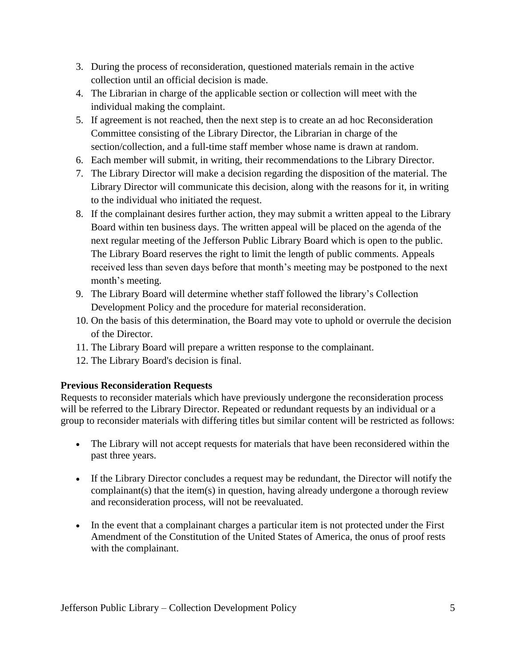- 3. During the process of reconsideration, questioned materials remain in the active collection until an official decision is made.
- 4. The Librarian in charge of the applicable section or collection will meet with the individual making the complaint.
- 5. If agreement is not reached, then the next step is to create an ad hoc Reconsideration Committee consisting of the Library Director, the Librarian in charge of the section/collection, and a full-time staff member whose name is drawn at random.
- 6. Each member will submit, in writing, their recommendations to the Library Director.
- 7. The Library Director will make a decision regarding the disposition of the material. The Library Director will communicate this decision, along with the reasons for it, in writing to the individual who initiated the request.
- 8. If the complainant desires further action, they may submit a written appeal to the Library Board within ten business days. The written appeal will be placed on the agenda of the next regular meeting of the Jefferson Public Library Board which is open to the public. The Library Board reserves the right to limit the length of public comments. Appeals received less than seven days before that month's meeting may be postponed to the next month's meeting.
- 9. The Library Board will determine whether staff followed the library's Collection Development Policy and the procedure for material reconsideration.
- 10. On the basis of this determination, the Board may vote to uphold or overrule the decision of the Director.
- 11. The Library Board will prepare a written response to the complainant.
- 12. The Library Board's decision is final.

# **Previous Reconsideration Requests**

Requests to reconsider materials which have previously undergone the reconsideration process will be referred to the Library Director. Repeated or redundant requests by an individual or a group to reconsider materials with differing titles but similar content will be restricted as follows:

- The Library will not accept requests for materials that have been reconsidered within the past three years.
- If the Library Director concludes a request may be redundant, the Director will notify the complainant(s) that the item(s) in question, having already undergone a thorough review and reconsideration process, will not be reevaluated.
- In the event that a complainant charges a particular item is not protected under the First Amendment of the Constitution of the United States of America, the onus of proof rests with the complainant.